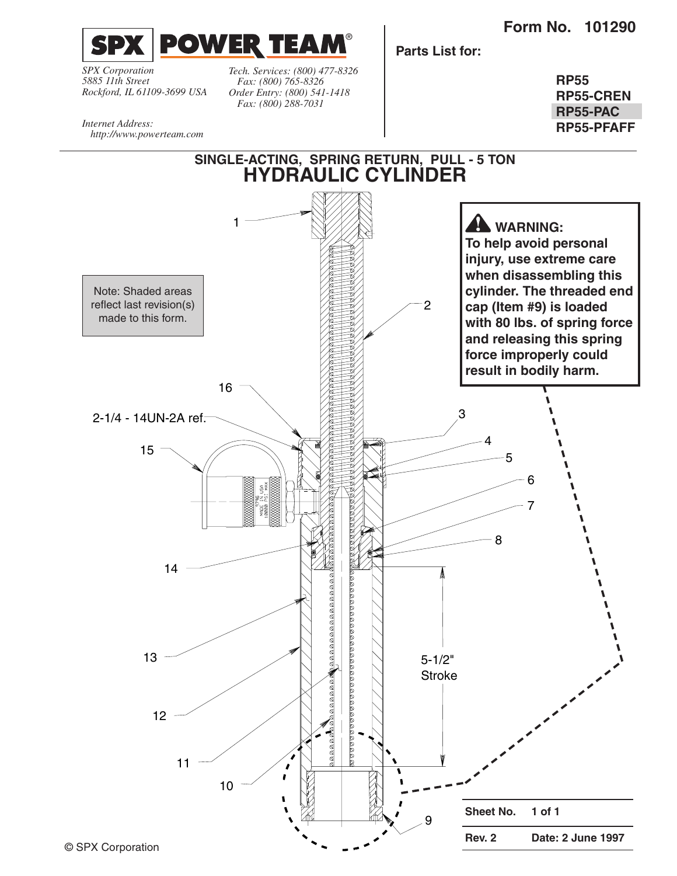**Form No. 101290**



*SPX Corporation 5885 11th Street Rockford, IL 61109-3699 USA*

*http://www.powerteam.com*

*Internet Address:* 

*Tech. Services: (800) 477-8326 Fax: (800) 765-8326 Order Entry: (800) 541-1418 Fax: (800) 288-7031*

**Parts List for:**

**RP55 RP55-CREN RP55-PAC RP55-PFAFF**